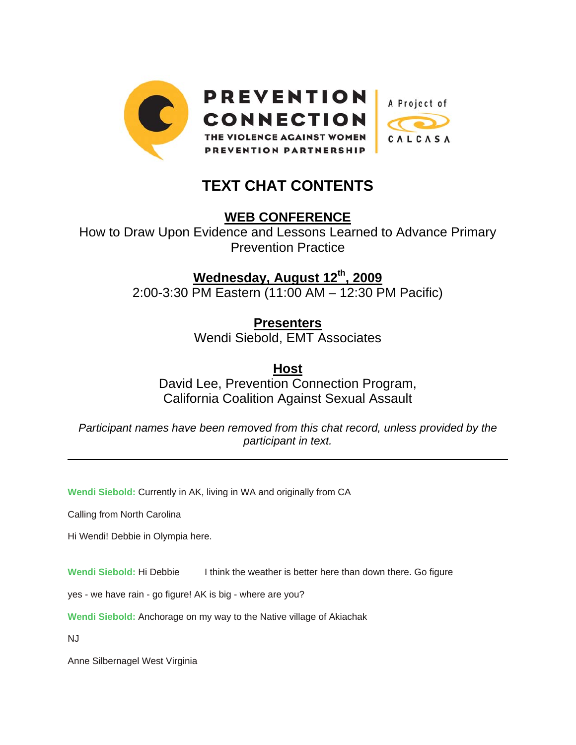

## **TEXT CHAT CONTENTS**

**WEB CONFERENCE**

How to Draw Upon Evidence and Lessons Learned to Advance Primary Prevention Practice

**Wednesday, August 12th, 2009**

2:00-3:30 PM Eastern (11:00 AM – 12:30 PM Pacific)

**Presenters**

Wendi Siebold, EMT Associates

**Host** David Lee, Prevention Connection Program, California Coalition Against Sexual Assault

*Participant names have been removed from this chat record, unless provided by the participant in text.* 

**Wendi Siebold:** Currently in AK, living in WA and originally from CA

Calling from North Carolina

Hi Wendi! Debbie in Olympia here.

Wendi Siebold: Hi Debbie I think the weather is better here than down there. Go figure

yes - we have rain - go figure! AK is big - where are you?

**Wendi Siebold:** Anchorage on my way to the Native village of Akiachak

NJ

 $\overline{a}$ 

Anne Silbernagel West Virginia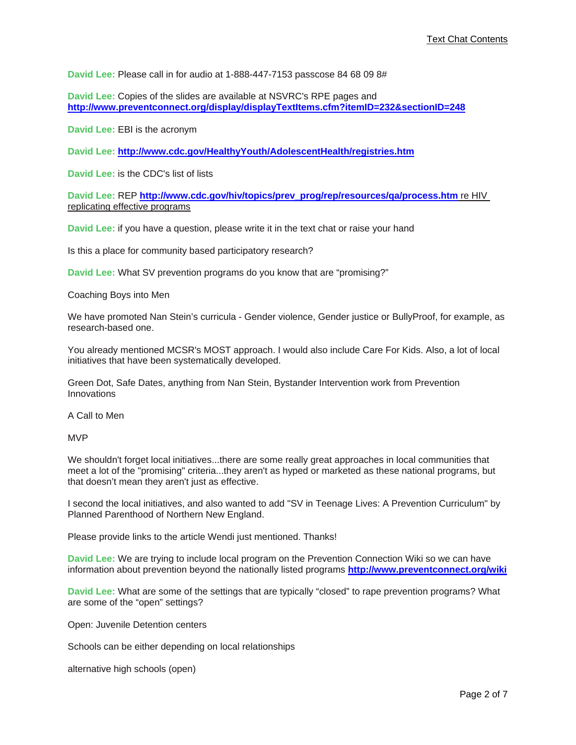**David Lee:** Please call in for audio at 1-888-447-7153 passcose 84 68 09 8#

**David Lee:** Copies of the slides are available at NSVRC's RPE pages and http://www.preventconnect.org/display/displayTextItems.cfm?itemID=232&sectionID=248

**David Lee:** EBI is the acronym

**David Lee: http://www.cdc.gov/HealthyYouth/AdolescentHealth/registries.htm**

**David Lee:** is the CDC's list of lists

**David Lee:** REP **http://www.cdc.gov/hiv/topics/prev\_prog/rep/resources/qa/process.htm** re HIV replicating effective programs

**David Lee:** if you have a question, please write it in the text chat or raise your hand

Is this a place for community based participatory research?

**David Lee:** What SV prevention programs do you know that are "promising?"

Coaching Boys into Men

We have promoted Nan Stein's curricula - Gender violence, Gender justice or BullyProof, for example, as research-based one.

You already mentioned MCSR's MOST approach. I would also include Care For Kids. Also, a lot of local initiatives that have been systematically developed.

Green Dot, Safe Dates, anything from Nan Stein, Bystander Intervention work from Prevention Innovations

A Call to Men

MVP

We shouldn't forget local initiatives...there are some really great approaches in local communities that meet a lot of the "promising" criteria...they aren't as hyped or marketed as these national programs, but that doesn't mean they aren't just as effective.

I second the local initiatives, and also wanted to add "SV in Teenage Lives: A Prevention Curriculum" by Planned Parenthood of Northern New England.

Please provide links to the article Wendi just mentioned. Thanks!

**David Lee:** We are trying to include local program on the Prevention Connection Wiki so we can have information about prevention beyond the nationally listed programs **http://www.preventconnect.org/wiki**

**David Lee:** What are some of the settings that are typically "closed" to rape prevention programs? What are some of the "open" settings?

Open: Juvenile Detention centers

Schools can be either depending on local relationships

alternative high schools (open)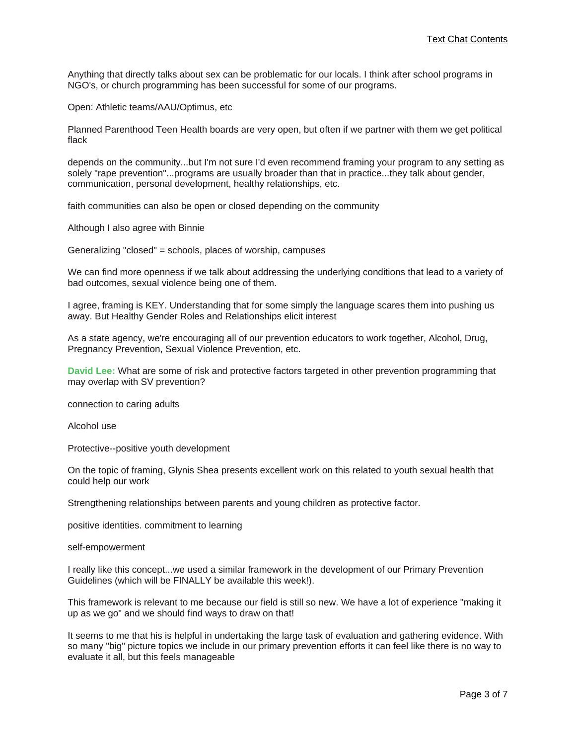Anything that directly talks about sex can be problematic for our locals. I think after school programs in NGO's, or church programming has been successful for some of our programs.

Open: Athletic teams/AAU/Optimus, etc

Planned Parenthood Teen Health boards are very open, but often if we partner with them we get political flack

depends on the community...but I'm not sure I'd even recommend framing your program to any setting as solely "rape prevention"...programs are usually broader than that in practice...they talk about gender, communication, personal development, healthy relationships, etc.

faith communities can also be open or closed depending on the community

Although I also agree with Binnie

Generalizing "closed" = schools, places of worship, campuses

We can find more openness if we talk about addressing the underlying conditions that lead to a variety of bad outcomes, sexual violence being one of them.

I agree, framing is KEY. Understanding that for some simply the language scares them into pushing us away. But Healthy Gender Roles and Relationships elicit interest

As a state agency, we're encouraging all of our prevention educators to work together, Alcohol, Drug, Pregnancy Prevention, Sexual Violence Prevention, etc.

**David Lee:** What are some of risk and protective factors targeted in other prevention programming that may overlap with SV prevention?

connection to caring adults

Alcohol use

Protective--positive youth development

On the topic of framing, Glynis Shea presents excellent work on this related to youth sexual health that could help our work

Strengthening relationships between parents and young children as protective factor.

positive identities. commitment to learning

self-empowerment

I really like this concept...we used a similar framework in the development of our Primary Prevention Guidelines (which will be FINALLY be available this week!).

This framework is relevant to me because our field is still so new. We have a lot of experience "making it up as we go" and we should find ways to draw on that!

It seems to me that his is helpful in undertaking the large task of evaluation and gathering evidence. With so many "big" picture topics we include in our primary prevention efforts it can feel like there is no way to evaluate it all, but this feels manageable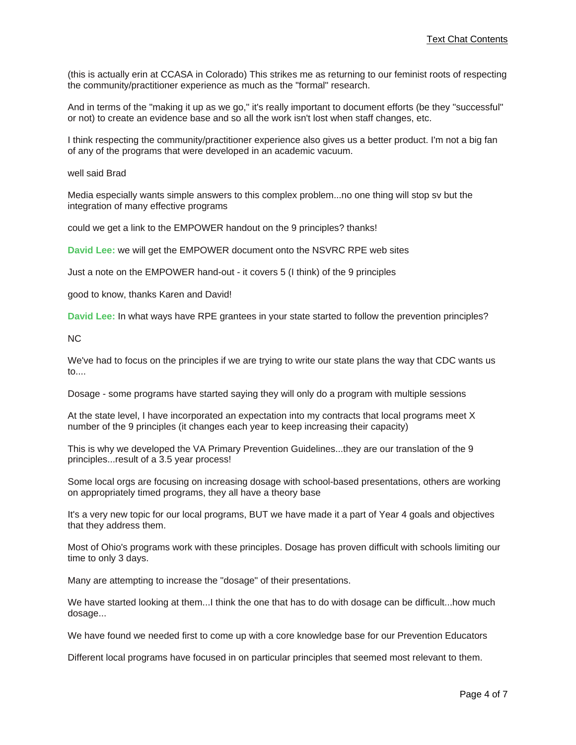(this is actually erin at CCASA in Colorado) This strikes me as returning to our feminist roots of respecting the community/practitioner experience as much as the "formal" research.

And in terms of the "making it up as we go," it's really important to document efforts (be they "successful" or not) to create an evidence base and so all the work isn't lost when staff changes, etc.

I think respecting the community/practitioner experience also gives us a better product. I'm not a big fan of any of the programs that were developed in an academic vacuum.

## well said Brad

Media especially wants simple answers to this complex problem...no one thing will stop sv but the integration of many effective programs

could we get a link to the EMPOWER handout on the 9 principles? thanks!

**David Lee:** we will get the EMPOWER document onto the NSVRC RPE web sites

Just a note on the EMPOWER hand-out - it covers 5 (I think) of the 9 principles

good to know, thanks Karen and David!

**David Lee:** In what ways have RPE grantees in your state started to follow the prevention principles?

NC

We've had to focus on the principles if we are trying to write our state plans the way that CDC wants us to....

Dosage - some programs have started saying they will only do a program with multiple sessions

At the state level, I have incorporated an expectation into my contracts that local programs meet X number of the 9 principles (it changes each year to keep increasing their capacity)

This is why we developed the VA Primary Prevention Guidelines...they are our translation of the 9 principles...result of a 3.5 year process!

Some local orgs are focusing on increasing dosage with school-based presentations, others are working on appropriately timed programs, they all have a theory base

It's a very new topic for our local programs, BUT we have made it a part of Year 4 goals and objectives that they address them.

Most of Ohio's programs work with these principles. Dosage has proven difficult with schools limiting our time to only 3 days.

Many are attempting to increase the "dosage" of their presentations.

We have started looking at them...I think the one that has to do with dosage can be difficult...how much dosage...

We have found we needed first to come up with a core knowledge base for our Prevention Educators

Different local programs have focused in on particular principles that seemed most relevant to them.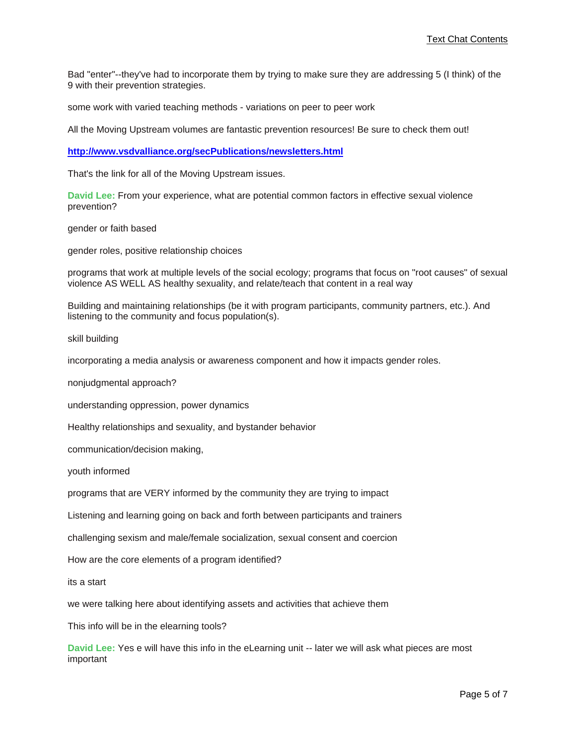Bad "enter"--they've had to incorporate them by trying to make sure they are addressing 5 (I think) of the 9 with their prevention strategies.

some work with varied teaching methods - variations on peer to peer work

All the Moving Upstream volumes are fantastic prevention resources! Be sure to check them out!

**http://www.vsdvalliance.org/secPublications/newsletters.html**

That's the link for all of the Moving Upstream issues.

**David Lee:** From your experience, what are potential common factors in effective sexual violence prevention?

gender or faith based

gender roles, positive relationship choices

programs that work at multiple levels of the social ecology; programs that focus on "root causes" of sexual violence AS WELL AS healthy sexuality, and relate/teach that content in a real way

Building and maintaining relationships (be it with program participants, community partners, etc.). And listening to the community and focus population(s).

skill building

incorporating a media analysis or awareness component and how it impacts gender roles.

nonjudgmental approach?

understanding oppression, power dynamics

Healthy relationships and sexuality, and bystander behavior

communication/decision making,

youth informed

programs that are VERY informed by the community they are trying to impact

Listening and learning going on back and forth between participants and trainers

challenging sexism and male/female socialization, sexual consent and coercion

How are the core elements of a program identified?

its a start

we were talking here about identifying assets and activities that achieve them

This info will be in the elearning tools?

**David Lee:** Yes e will have this info in the eLearning unit -- later we will ask what pieces are most important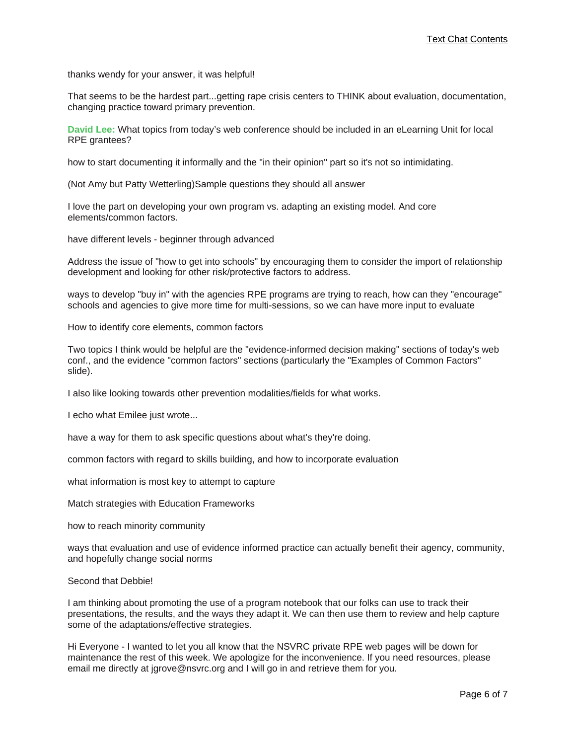thanks wendy for your answer, it was helpful!

That seems to be the hardest part...getting rape crisis centers to THINK about evaluation, documentation, changing practice toward primary prevention.

**David Lee:** What topics from today's web conference should be included in an eLearning Unit for local RPE grantees?

how to start documenting it informally and the "in their opinion" part so it's not so intimidating.

(Not Amy but Patty Wetterling)Sample questions they should all answer

I love the part on developing your own program vs. adapting an existing model. And core elements/common factors.

have different levels - beginner through advanced

Address the issue of "how to get into schools" by encouraging them to consider the import of relationship development and looking for other risk/protective factors to address.

ways to develop "buy in" with the agencies RPE programs are trying to reach, how can they "encourage" schools and agencies to give more time for multi-sessions, so we can have more input to evaluate

How to identify core elements, common factors

Two topics I think would be helpful are the "evidence-informed decision making" sections of today's web conf., and the evidence "common factors" sections (particularly the "Examples of Common Factors" slide).

I also like looking towards other prevention modalities/fields for what works.

I echo what Emilee just wrote...

have a way for them to ask specific questions about what's they're doing.

common factors with regard to skills building, and how to incorporate evaluation

what information is most key to attempt to capture

Match strategies with Education Frameworks

how to reach minority community

ways that evaluation and use of evidence informed practice can actually benefit their agency, community, and hopefully change social norms

## Second that Debbie!

I am thinking about promoting the use of a program notebook that our folks can use to track their presentations, the results, and the ways they adapt it. We can then use them to review and help capture some of the adaptations/effective strategies.

Hi Everyone - I wanted to let you all know that the NSVRC private RPE web pages will be down for maintenance the rest of this week. We apologize for the inconvenience. If you need resources, please email me directly at jgrove@nsvrc.org and I will go in and retrieve them for you.